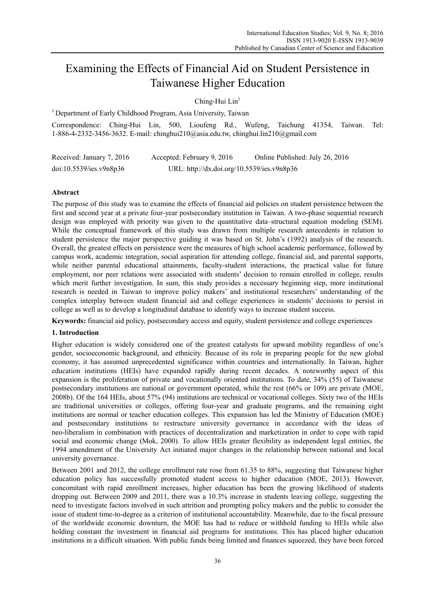# Examining the Effects of Financial Aid on Student Persistence in Taiwanese Higher Education

Ching-Hui Lin<sup>1</sup>

<sup>1</sup> Department of Early Childhood Program, Asia University, Taiwan

Correspondence: Ching-Hui Lin, 500, Lioufeng Rd., Wufeng, Taichung 41354, Taiwan. Tel: 1-886-4-2332-3456-3632. E-mail: chinghui210@asia.edu.tw, chinghui.lin210@gmail.com

| Received: January 7, 2016 | Accepted: February 9, 2016                 | Online Published: July 26, 2016 |
|---------------------------|--------------------------------------------|---------------------------------|
| doi:10.5539/ies.v9n8p36   | URL: http://dx.doi.org/10.5539/ies.v9n8p36 |                                 |

# **Abstract**

The purpose of this study was to examine the effects of financial aid policies on student persistence between the first and second year at a private four-year postsecondary institution in Taiwan. A two-phase sequential research design was employed with priority was given to the quantitative data–structural equation modeling (SEM). While the conceptual framework of this study was drawn from multiple research antecedents in relation to student persistence the major perspective guiding it was based on St. John's (1992) analysis of the research. Overall, the greatest effects on persistence were the measures of high school academic performance, followed by campus work, academic integration, social aspiration for attending college, financial aid, and parental supports, while neither parental educational attainments, faculty-student interactions, the practical value for future employment, nor peer relations were associated with students' decision to remain enrolled in college, results which merit further investigation. In sum, this study provides a necessary beginning step, more institutional research is needed in Taiwan to improve policy makers' and institutional researchers' understanding of the complex interplay between student financial aid and college experiences in students' decisions to persist in college as well as to develop a longitudinal database to identify ways to increase student success.

**Keywords:** financial aid policy, postsecondary access and equity, student persistence and college experiences

# **1. Introduction**

Higher education is widely considered one of the greatest catalysts for upward mobility regardless of one's gender, socioeconomic background, and ethnicity. Because of its role in preparing people for the new global economy, it has assumed unprecedented significance within countries and internationally. In Taiwan, higher education institutions (HEIs) have expanded rapidly during recent decades. A noteworthy aspect of this expansion is the proliferation of private and vocationally oriented institutions. To date, 34% (55) of Taiwanese postsecondary institutions are national or government operated, while the rest (66% or 109) are private (MOE, 2008b). Of the 164 HEIs, about 57% (94) institutions are technical or vocational colleges. Sixty two of the HEIs are traditional universities or colleges, offering four-year and graduate programs, and the remaining eight institutions are normal or teacher education colleges. This expansion has led the Ministry of Education (MOE) and postsecondary institutions to restructure university governance in accordance with the ideas of neo-liberalism in combination with practices of decentralization and marketization in order to cope with rapid social and economic change (Mok, 2000). To allow HEIs greater flexibility as independent legal entities, the 1994 amendment of the University Act initiated major changes in the relationship between national and local university governance.

Between 2001 and 2012, the college enrollment rate rose from 61.35 to 88%, suggesting that Taiwanese higher education policy has successfully promoted student access to higher education (MOE, 2013). However, concomitant with rapid enrollment increases, higher education has been the growing likelihood of students dropping out. Between 2009 and 2011, there was a 10.3% increase in students leaving college, suggesting the need to investigate factors involved in such attrition and prompting policy makers and the public to consider the issue of student time-to-degree as a criterion of institutional accountability. Meanwhile, due to the fiscal pressure of the worldwide economic downturn, the MOE has had to reduce or withhold funding to HEIs while also holding constant the investment in financial aid programs for institutions. This has placed higher education institutions in a difficult situation. With public funds being limited and finances squeezed, they have been forced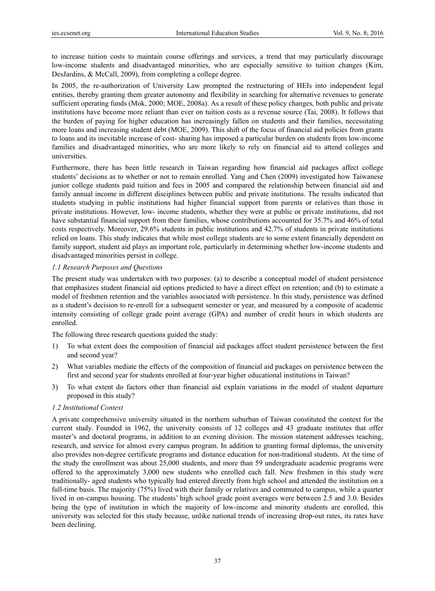to increase tuition costs to maintain course offerings and services, a trend that may particularly discourage low-income students and disadvantaged minorities, who are especially sensitive to tuition changes (Kim, DesJardins, & McCall, 2009), from completing a college degree.

In 2005, the re-authorization of University Law prompted the restructuring of HEIs into independent legal entities, thereby granting them greater autonomy and flexibility in searching for alternative revenues to generate sufficient operating funds (Mok, 2000; MOE, 2008a). As a result of these policy changes, both public and private institutions have become more reliant than ever on tuition costs as a revenue source (Tai, 2008). It follows that the burden of paying for higher education has increasingly fallen on students and their families, necessitating more loans and increasing student debt (MOE, 2009). This shift of the focus of financial aid policies from grants to loans and its inevitable increase of cost- sharing has imposed a particular burden on students from low-income families and disadvantaged minorities, who are more likely to rely on financial aid to attend colleges and universities.

Furthermore, there has been little research in Taiwan regarding how financial aid packages affect college students' decisions as to whether or not to remain enrolled. Yang and Chen (2009) investigated how Taiwanese junior college students paid tuition and fees in 2005 and compared the relationship between financial aid and family annual income in different disciplines between public and private institutions. The results indicated that students studying in public institutions had higher financial support from parents or relatives than those in private institutions. However, low- income students, whether they were at public or private institutions, did not have substantial financial support from their families, whose contributions accounted for 35.7% and 46% of total costs respectively. Moreover, 29.6% students in public institutions and 42.7% of students in private institutions relied on loans. This study indicates that while most college students are to some extent financially dependent on family support, student aid plays an important role, particularly in determining whether low-income students and disadvantaged minorities persist in college.

# *1.1 Research Purposes and Questions*

The present study was undertaken with two purposes: (a) to describe a conceptual model of student persistence that emphasizes student financial aid options predicted to have a direct effect on retention; and (b) to estimate a model of freshmen retention and the variables associated with persistence. In this study, persistence was defined as a student's decision to re-enroll for a subsequent semester or year, and measured by a composite of academic intensity consisting of college grade point average (GPA) and number of credit hours in which students are enrolled.

The following three research questions guided the study:

- 1) To what extent does the composition of financial aid packages affect student persistence between the first and second year?
- 2) What variables mediate the effects of the composition of financial aid packages on persistence between the first and second year for students enrolled at four-year higher educational institutions in Taiwan?
- 3) To what extent do factors other than financial aid explain variations in the model of student departure proposed in this study?

# *1.2 Institutional Context*

A private comprehensive university situated in the northern suburban of Taiwan constituted the context for the current study. Founded in 1962, the university consists of 12 colleges and 43 graduate institutes that offer master's and doctoral programs, in addition to an evening division. The mission statement addresses teaching, research, and service for almost every campus program. In addition to granting formal diplomas, the university also provides non-degree certificate programs and distance education for non-traditional students. At the time of the study the enrollment was about 25,000 students, and more than 59 undergraduate academic programs were offered to the approximately 3,000 new students who enrolled each fall. New freshmen in this study were traditionally- aged students who typically had entered directly from high school and attended the institution on a full-time basis. The majority (75%) lived with their family or relatives and commuted to campus, while a quarter lived in on-campus housing. The students' high school grade point averages were between 2.5 and 3.0. Besides being the type of institution in which the majority of low-income and minority students are enrolled, this university was selected for this study because, unlike national trends of increasing drop-out rates, its rates have been declining.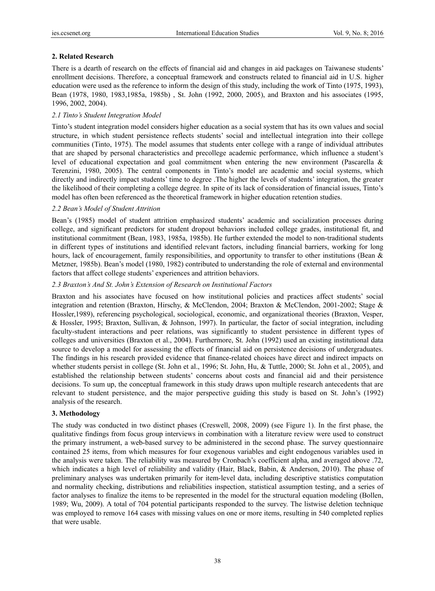# **2. Related Research**

There is a dearth of research on the effects of financial aid and changes in aid packages on Taiwanese students' enrollment decisions. Therefore, a conceptual framework and constructs related to financial aid in U.S. higher education were used as the reference to inform the design of this study, including the work of Tinto (1975, 1993), Bean (1978, 1980, 1983,1985a, 1985b) , St. John (1992, 2000, 2005), and Braxton and his associates (1995, 1996, 2002, 2004).

# *2.1 Tinto's Student Integration Model*

Tinto's student integration model considers higher education as a social system that has its own values and social structure, in which student persistence reflects students' social and intellectual integration into their college communities (Tinto, 1975). The model assumes that students enter college with a range of individual attributes that are shaped by personal characteristics and precollege academic performance, which influence a student's level of educational expectation and goal commitment when entering the new environment (Pascarella & Terenzini, 1980, 2005). The central components in Tinto's model are academic and social systems, which directly and indirectly impact students' time to degree .The higher the levels of students' integration, the greater the likelihood of their completing a college degree. In spite of its lack of consideration of financial issues, Tinto's model has often been referenced as the theoretical framework in higher education retention studies.

# *2.2 Bean's Model of Student Attrition*

Bean's (1985) model of student attrition emphasized students' academic and socialization processes during college, and significant predictors for student dropout behaviors included college grades, institutional fit, and institutional commitment (Bean, 1983, 1985a, 1985b). He further extended the model to non-traditional students in different types of institutions and identified relevant factors, including financial barriers, working for long hours, lack of encouragement, family responsibilities, and opportunity to transfer to other institutions (Bean & Metzner, 1985b). Bean's model (1980, 1982) contributed to understanding the role of external and environmental factors that affect college students' experiences and attrition behaviors.

# *2.3 Braxton's And St. John's Extension of Research on Institutional Factors*

Braxton and his associates have focused on how institutional policies and practices affect students' social integration and retention (Braxton, Hirschy, & McClendon, 2004; Braxton & McClendon, 2001-2002; Stage & Hossler,1989), referencing psychological, sociological, economic, and organizational theories (Braxton, Vesper, & Hossler, 1995; Braxton, Sullivan, & Johnson, 1997). In particular, the factor of social integration, including faculty-student interactions and peer relations, was significantly to student persistence in different types of colleges and universities (Braxton et al., 2004). Furthermore, St. John (1992) used an existing institutional data source to develop a model for assessing the effects of financial aid on persistence decisions of undergraduates. The findings in his research provided evidence that finance-related choices have direct and indirect impacts on whether students persist in college (St. John et al., 1996; St. John, Hu, & Tuttle, 2000; St. John et al., 2005), and established the relationship between students' concerns about costs and financial aid and their persistence decisions. To sum up, the conceptual framework in this study draws upon multiple research antecedents that are relevant to student persistence, and the major perspective guiding this study is based on St. John's (1992) analysis of the research.

# **3. Methodology**

The study was conducted in two distinct phases (Creswell, 2008, 2009) (see Figure 1). In the first phase, the qualitative findings from focus group interviews in combination with a literature review were used to construct the primary instrument, a web-based survey to be administered in the second phase. The survey questionnaire contained 25 items, from which measures for four exogenous variables and eight endogenous variables used in the analysis were taken. The reliability was measured by Cronbach's coefficient alpha, and averaged above .72, which indicates a high level of reliability and validity (Hair, Black, Babin, & Anderson, 2010). The phase of preliminary analyses was undertaken primarily for item-level data, including descriptive statistics computation and normality checking, distributions and reliabilities inspection, statistical assumption testing, and a series of factor analyses to finalize the items to be represented in the model for the structural equation modeling (Bollen, 1989; Wu, 2009). A total of 704 potential participants responded to the survey. The listwise deletion technique was employed to remove 164 cases with missing values on one or more items, resulting in 540 completed replies that were usable.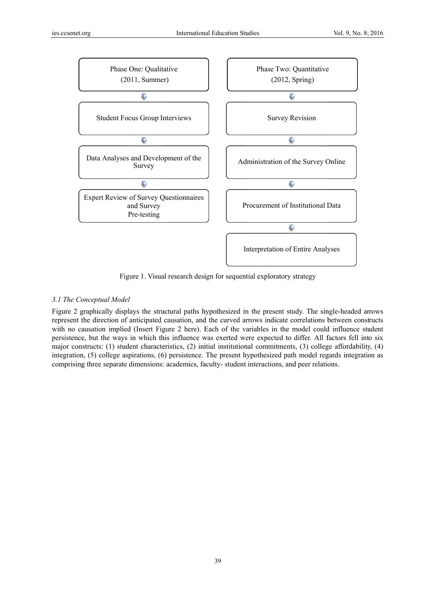

Figure 1. Visual research design for sequential exploratory strategy

# 3.1 The Conceptual Model

Figure 2 graphically displays the structural paths hypothesized in the present study. The single-headed arrows represent the direction of anticipated causation, and the curved arrows indicate correlations between constructs with no causation implied (Insert Figure 2 here). Each of the variables in the model could influence student persistence, but the ways in which this influence was exerted were expected to differ. All factors fell into six major constructs: (1) student characteristics, (2) initial institutional commitments, (3) college affordability, (4) integration, (5) college aspirations, (6) persistence. The present hypothesized path model regards integration as comprising three separate dimensions: academics, faculty- student interactions, and peer relations.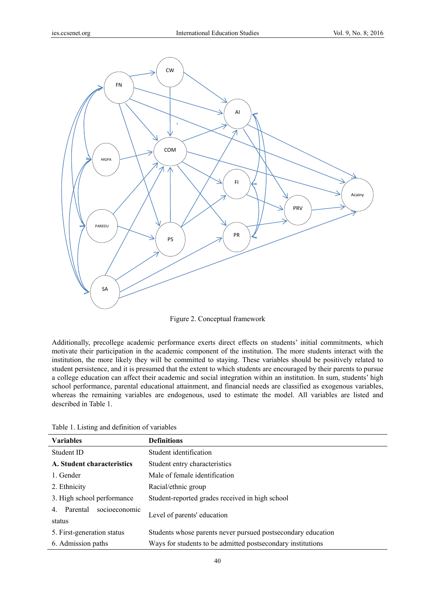

Figure 2. Conceptual framework

Additionally, precollege academic performance exerts direct effects on students' initial commitments, which motivate their participation in the academic component of the institution. The more students interact with the institution, the more likely they will be committed to staying. These variables should be positively related to student persistence, and it is presumed that the extent to which students are encouraged by their parents to pursue a college education can affect their academic and social integration within an institution. In sum, students' high school performance, parental educational attainment, and financial needs are classified as exogenous variables, whereas the remaining variables are endogenous, used to estimate the model. All variables are listed and described in Table 1.

| <b>Variables</b>                          | <b>Definitions</b>                                           |  |  |  |  |  |  |
|-------------------------------------------|--------------------------------------------------------------|--|--|--|--|--|--|
| Student ID                                | Student identification                                       |  |  |  |  |  |  |
| A. Student characteristics                | Student entry characteristics                                |  |  |  |  |  |  |
| 1. Gender                                 | Male of female identification                                |  |  |  |  |  |  |
| 2. Ethnicity                              | Racial/ethnic group                                          |  |  |  |  |  |  |
| 3. High school performance                | Student-reported grades received in high school              |  |  |  |  |  |  |
| socioeconomic<br>Parental<br>4.<br>status | Level of parents' education                                  |  |  |  |  |  |  |
| 5. First-generation status                | Students whose parents never pursued postsecondary education |  |  |  |  |  |  |
| 6. Admission paths                        | Ways for students to be admitted postsecondary institutions  |  |  |  |  |  |  |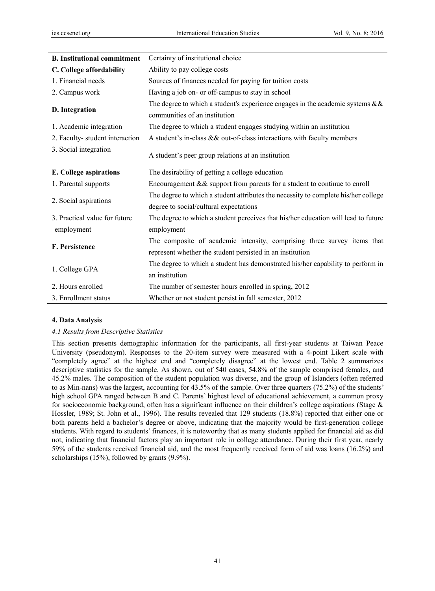| <b>B.</b> Institutional commitment | Certainty of institutional choice                                                                                 |
|------------------------------------|-------------------------------------------------------------------------------------------------------------------|
| C. College affordability           | Ability to pay college costs                                                                                      |
| 1. Financial needs                 | Sources of finances needed for paying for tuition costs                                                           |
| 2. Campus work                     | Having a job on- or off-campus to stay in school                                                                  |
| D. Integration                     | The degree to which a student's experience engages in the academic systems $\&&$<br>communities of an institution |
| 1. Academic integration            | The degree to which a student engages studying within an institution                                              |
| 2. Faculty-student interaction     | A student's in-class && out-of-class interactions with faculty members                                            |
| 3. Social integration              | A student's peer group relations at an institution                                                                |
| E. College aspirations             | The desirability of getting a college education                                                                   |
| 1. Parental supports               | Encouragement $& \&$ support from parents for a student to continue to enroll                                     |
| 2. Social aspirations              | The degree to which a student attributes the necessity to complete his/her college                                |
|                                    | degree to social/cultural expectations                                                                            |
| 3. Practical value for future      | The degree to which a student perceives that his/her education will lead to future                                |
| employment                         | employment                                                                                                        |
| F. Persistence                     | The composite of academic intensity, comprising three survey items that                                           |
|                                    | represent whether the student persisted in an institution                                                         |
|                                    | The degree to which a student has demonstrated his/her capability to perform in                                   |
| 1. College GPA                     | an institution                                                                                                    |
| 2. Hours enrolled                  | The number of semester hours enrolled in spring, 2012                                                             |
| 3. Enrollment status               | Whether or not student persist in fall semester, 2012                                                             |

# **4. Data Analysis**

### *4.1 Results from Descriptive Statistics*

This section presents demographic information for the participants, all first-year students at Taiwan Peace University (pseudonym). Responses to the 20-item survey were measured with a 4-point Likert scale with "completely agree" at the highest end and "completely disagree" at the lowest end. Table 2 summarizes descriptive statistics for the sample. As shown, out of 540 cases, 54.8% of the sample comprised females, and 45.2% males. The composition of the student population was diverse, and the group of Islanders (often referred to as Min-nans) was the largest, accounting for 43.5% of the sample. Over three quarters (75.2%) of the students' high school GPA ranged between B and C. Parents' highest level of educational achievement, a common proxy for socioeconomic background, often has a significant influence on their children's college aspirations (Stage  $\&$ Hossler, 1989; St. John et al., 1996). The results revealed that 129 students (18.8%) reported that either one or both parents held a bachelor's degree or above, indicating that the majority would be first-generation college students. With regard to students' finances, it is noteworthy that as many students applied for financial aid as did not, indicating that financial factors play an important role in college attendance. During their first year, nearly 59% of the students received financial aid, and the most frequently received form of aid was loans (16.2%) and scholarships (15%), followed by grants (9.9%).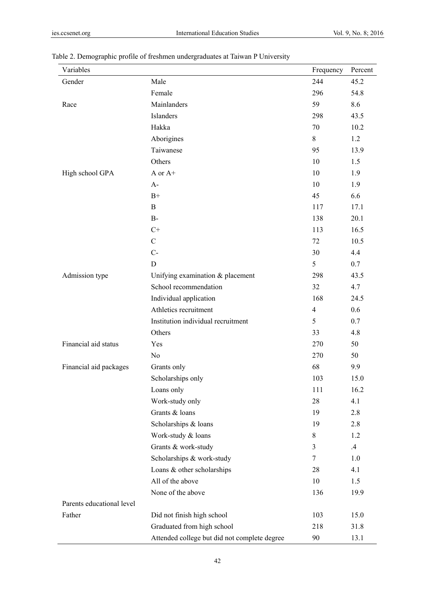| Variables                 |                                              | Frequency      | Percent |
|---------------------------|----------------------------------------------|----------------|---------|
| Gender                    | Male                                         | 244            | 45.2    |
|                           | Female                                       | 296            | 54.8    |
| Race                      | Mainlanders                                  | 59             | 8.6     |
|                           | Islanders                                    | 298            | 43.5    |
|                           | Hakka                                        | 70             | 10.2    |
|                           | Aborigines                                   | 8              | 1.2     |
|                           | Taiwanese                                    | 95             | 13.9    |
|                           | Others                                       | 10             | 1.5     |
| High school GPA           | A or A+                                      | 10             | 1.9     |
|                           | $A-$                                         | 10             | 1.9     |
|                           | $B+$                                         | 45             | 6.6     |
|                           | $\mathbf B$                                  | 117            | 17.1    |
|                           | $B-$                                         | 138            | 20.1    |
|                           | $C+$                                         | 113            | 16.5    |
|                           | $\mathbf C$                                  | 72             | 10.5    |
|                           | $C-$                                         | 30             | 4.4     |
|                           | $\mathbf D$                                  | 5              | 0.7     |
| Admission type            | Unifying examination & placement             | 298            | 43.5    |
|                           | School recommendation                        | 32             | 4.7     |
|                           | Individual application                       | 168            | 24.5    |
|                           | Athletics recruitment                        | $\overline{4}$ | 0.6     |
|                           | Institution individual recruitment           | 5              | 0.7     |
|                           | Others                                       | 33             | 4.8     |
| Financial aid status      | Yes                                          | 270            | 50      |
|                           | No                                           | 270            | 50      |
| Financial aid packages    | Grants only                                  | 68             | 9.9     |
|                           | Scholarships only                            | 103            | 15.0    |
|                           | Loans only                                   | 111            | 16.2    |
|                           | Work-study only                              | 28             | 4.1     |
|                           | Grants & loans                               | 19             | 2.8     |
|                           | Scholarships & loans                         | 19             | 2.8     |
|                           | Work-study & loans                           | 8              | 1.2     |
|                           | Grants & work-study                          | 3              | $.4\,$  |
|                           | Scholarships & work-study                    | 7              | 1.0     |
|                           | Loans & other scholarships                   | 28             | 4.1     |
|                           | All of the above                             | 10             | 1.5     |
|                           | None of the above                            | 136            | 19.9    |
| Parents educational level |                                              |                |         |
| Father                    | Did not finish high school                   | 103            | 15.0    |
|                           | Graduated from high school                   | 218            | 31.8    |
|                           | Attended college but did not complete degree | 90             | 13.1    |

# Table 2. Demographic profile of freshmen undergraduates at Taiwan P University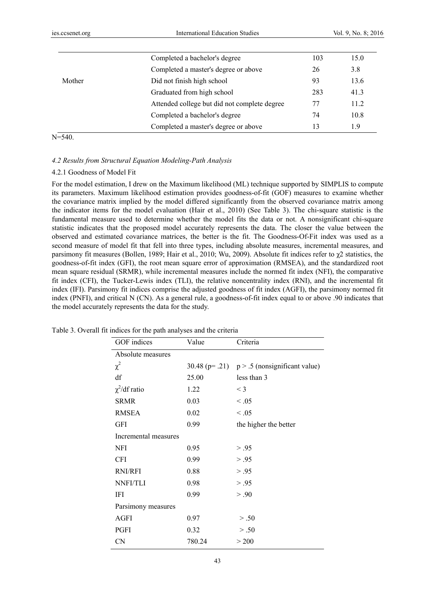|        | Completed a bachelor's degree                | 103 | 15.0 |
|--------|----------------------------------------------|-----|------|
|        | Completed a master's degree or above         | 26  | 3.8  |
| Mother | Did not finish high school                   | 93  | 13.6 |
|        | Graduated from high school                   | 283 | 41.3 |
|        | Attended college but did not complete degree | 77  | 11.2 |
|        | Completed a bachelor's degree                | 74  | 10.8 |
|        | Completed a master's degree or above         | 13  | 1.9  |

 $N=540$ .

# *4.2 Results from Structural Equation Modeling-Path Analysis*

### 4.2.1 Goodness of Model Fit

For the model estimation, I drew on the Maximum likelihood (ML) technique supported by SIMPLIS to compute its parameters. Maximum likelihood estimation provides goodness-of-fit (GOF) measures to examine whether the covariance matrix implied by the model differed significantly from the observed covariance matrix among the indicator items for the model evaluation (Hair et al., 2010) (See Table 3). The chi-square statistic is the fundamental measure used to determine whether the model fits the data or not. A nonsignificant chi-square statistic indicates that the proposed model accurately represents the data. The closer the value between the observed and estimated covariance matrices, the better is the fit. The Goodness-Of-Fit index was used as a second measure of model fit that fell into three types, including absolute measures, incremental measures, and parsimony fit measures (Bollen, 1989; Hair et al., 2010; Wu, 2009). Absolute fit indices refer to χ2 statistics, the goodness-of-fit index (GFI), the root mean square error of approximation (RMSEA), and the standardized root mean square residual (SRMR), while incremental measures include the normed fit index (NFI), the comparative fit index (CFI), the Tucker-Lewis index (TLI), the relative noncentrality index (RNI), and the incremental fit index (IFI). Parsimony fit indices comprise the adjusted goodness of fit index (AGFI), the parsimony normed fit index (PNFI), and critical N (CN). As a general rule, a goodness-of-fit index equal to or above .90 indicates that the model accurately represents the data for the study.

| GOF indices          | Value  | Criteria                                            |
|----------------------|--------|-----------------------------------------------------|
| Absolute measures    |        |                                                     |
| $\chi^2$             |        | 30.48 ( $p = .21$ ) $p > .5$ (nonsignificant value) |
| df                   | 25.00  | less than 3                                         |
| $\chi^2$ /df ratio   | 1.22   | $\leq$ 3                                            |
| <b>SRMR</b>          | 0.03   | < .05                                               |
| <b>RMSEA</b>         | 0.02   | $\leq .05$                                          |
| GFI                  | 0.99   | the higher the better                               |
| Incremental measures |        |                                                     |
| NFI                  | 0.95   | > .95                                               |
| CFI                  | 0.99   | > .95                                               |
| RNI/RFI              | 0.88   | > .95                                               |
| NNFI/TLI             | 0.98   | > .95                                               |
| IFI                  | 0.99   | > .90                                               |
| Parsimony measures   |        |                                                     |
| AGFI                 | 0.97   | > .50                                               |
| PGFI                 | 0.32   | > .50                                               |
| CN                   | 780.24 | > 200                                               |

Table 3. Overall fit indices for the path analyses and the criteria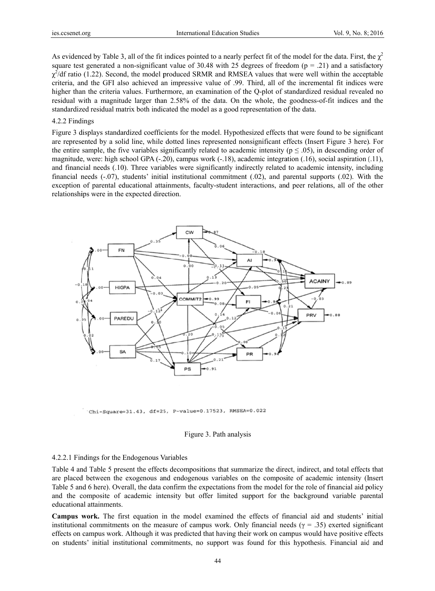As evidenced by Table 3, all of the fit indices pointed to a nearly perfect fit of the model for the data. First, the  $\chi^2$ square test generated a non-significant value of 30.48 with 25 degrees of freedom ( $p = .21$ ) and a satisfactory  $\chi^2$ /df ratio (1.22). Second, the model produced SRMR and RMSEA values that were well within the acceptable criteria, and the GFI also achieved an impressive value of .99. Third, all of the incremental fit indices were higher than the criteria values. Furthermore, an examination of the Q-plot of standardized residual revealed no residual with a magnitude larger than 2.58% of the data. On the whole, the goodness-of-fit indices and the standardized residual matrix both indicated the model as a good representation of the data.

#### 4.2.2 Find ings

Figure 3 displays standardized coefficients for the model. Hypothesized effects that were found to be significant are represented by a solid line, while dotted lines represented nonsignificant effects (Insert Figure 3 here). For the entire sample, the five variables significantly related to academic intensity ( $p \le 0.05$ ), in descending order of magnitude, were: high school GPA (-.20), campus work (-.18), academic integration (.16), social aspiration (.11), and financial needs (.10). Three variables were significantly indirectly related to academic intensity, including financial needs  $(-0.07)$ , students' initial institutional commitment  $(0.02)$ , and parental supports  $(0.02)$ . With the exception of parental educational attainments, faculty-student interactions, and peer relations, all of the other relationships were in the expected direction.



Chi-Square=31.43, df=25, P-value=0.17523, RMSEA=0.022

### Figure 3. Path analysis

### 4.2.2.1 Fin ndings for the E Endogenous V Variables

Table 4 and Table 5 present the effects decompositions that summarize the direct, indirect, and total effects that are placed between the exogenous and endogenous variables on the composite of academic intensity (Insert Table 5 and 6 here). Overall, the data confirm the expectations from the model for the role of financial aid policy and the composite of academic intensity but offer limited support for the background variable parental educational attainments.

Campus work. The first equation in the model examined the effects of financial aid and students' initial institutional commitments on the measure of campus work. Only financial needs ( $\gamma$  = .35) exerted significant effects on campus work. Although it was predicted that having their work on campus would have positive effects on students' initial institutional commitments, no support was found for this hypothesis. Financial aid and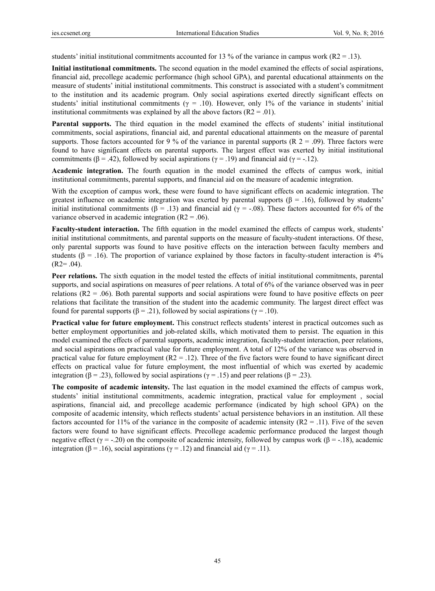students' initial institutional commitments accounted for 13 % of the variance in campus work ( $R2 = .13$ ).

**Initial institutional commitments.** The second equation in the model examined the effects of social aspirations, financial aid, precollege academic performance (high school GPA), and parental educational attainments on the measure of students' initial institutional commitments. This construct is associated with a student's commitment to the institution and its academic program. Only social aspirations exerted directly significant effects on students' initial institutional commitments ( $\gamma = .10$ ). However, only 1% of the variance in students' initial institutional commitments was explained by all the above factors  $(R2 = .01)$ .

**Parental supports.** The third equation in the model examined the effects of students' initial institutional commitments, social aspirations, financial aid, and parental educational attainments on the measure of parental supports. Those factors accounted for 9 % of the variance in parental supports (R  $2 = .09$ ). Three factors were found to have significant effects on parental supports. The largest effect was exerted by initial institutional commitments ( $\beta$  = .42), followed by social aspirations ( $\gamma$  = .19) and financial aid ( $\gamma$  = -.12).

**Academic integration.** The fourth equation in the model examined the effects of campus work, initial institutional commitments, parental supports, and financial aid on the measure of academic integration.

With the exception of campus work, these were found to have significant effects on academic integration. The greatest influence on academic integration was exerted by parental supports ( $\beta$  = .16), followed by students' initial institutional commitments (β = .13) and financial aid ( $\gamma$  = -.08). These factors accounted for 6% of the variance observed in academic integration  $(R2 = .06)$ .

**Faculty-student interaction.** The fifth equation in the model examined the effects of campus work, students' initial institutional commitments, and parental supports on the measure of faculty-student interactions. Of these, only parental supports was found to have positive effects on the interaction between faculty members and students ( $\beta$  = .16). The proportion of variance explained by those factors in faculty-student interaction is 4%  $(R2= .04)$ .

**Peer relations.** The sixth equation in the model tested the effects of initial institutional commitments, parental supports, and social aspirations on measures of peer relations. A total of 6% of the variance observed was in peer relations (R2 = .06). Both parental supports and social aspirations were found to have positive effects on peer relations that facilitate the transition of the student into the academic community. The largest direct effect was found for parental supports (β = .21), followed by social aspirations ( $γ$  = .10).

**Practical value for future employment.** This construct reflects students' interest in practical outcomes such as better employment opportunities and job-related skills, which motivated them to persist. The equation in this model examined the effects of parental supports, academic integration, faculty-student interaction, peer relations, and social aspirations on practical value for future employment. A total of 12% of the variance was observed in practical value for future employment  $(R2 = .12)$ . Three of the five factors were found to have significant direct effects on practical value for future employment, the most influential of which was exerted by academic integration ( $\beta = .23$ ), followed by social aspirations ( $\gamma = .15$ ) and peer relations ( $\beta = .23$ ).

**The composite of academic intensity.** The last equation in the model examined the effects of campus work, students' initial institutional commitments, academic integration, practical value for employment , social aspirations, financial aid, and precollege academic performance (indicated by high school GPA) on the composite of academic intensity, which reflects students' actual persistence behaviors in an institution. All these factors accounted for 11% of the variance in the composite of academic intensity ( $R2 = .11$ ). Five of the seven factors were found to have significant effects. Precollege academic performance produced the largest though negative effect (γ = -.20) on the composite of academic intensity, followed by campus work (β = -.18), academic integration (β = .16), social aspirations ( $\gamma$  = .12) and financial aid ( $\gamma$  = .11).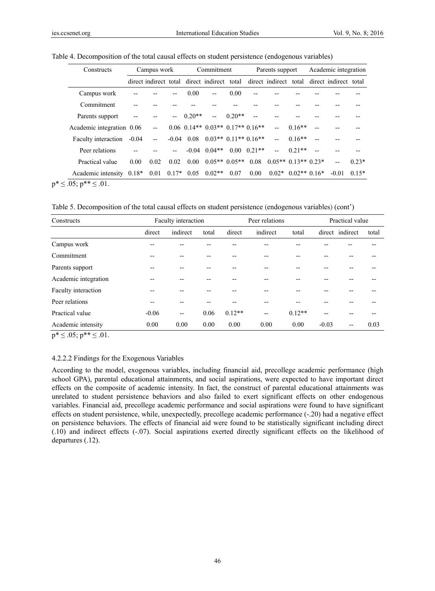| Constructs                 | Campus work |                          |      | Commitment   |                                             |          |                     | Parents support          |                      | Academic integration |                                             |         |
|----------------------------|-------------|--------------------------|------|--------------|---------------------------------------------|----------|---------------------|--------------------------|----------------------|----------------------|---------------------------------------------|---------|
|                            |             |                          |      |              | direct indirect total direct indirect total |          |                     |                          |                      |                      | direct indirect total direct indirect total |         |
| Campus work                |             |                          |      | 0.00         | $-$                                         | 0.00     |                     |                          |                      |                      |                                             |         |
| Commitment                 |             |                          |      |              |                                             |          |                     |                          |                      |                      |                                             |         |
| Parents support            |             |                          |      | $0.20**$     |                                             | $0.20**$ |                     |                          |                      |                      |                                             |         |
| Academic integration 0.06  |             | $-$                      |      |              | $0.06$ $0.14**$ $0.03**$ $0.17**$ $0.16**$  |          |                     |                          | $0.16**$             |                      |                                             |         |
| Faculty interaction        | $-0.04$     | $\overline{\phantom{a}}$ |      | $-0.04$ 0.08 | $0.03**$ 0.11** 0.16**                      |          |                     | $\overline{\phantom{a}}$ | $0.16**$             | $-$                  |                                             |         |
| Peer relations             |             |                          |      |              | $-0.04$ $0.04**$                            |          | $0.00 \quad 0.21**$ | $ -$                     | $0.21**$             |                      |                                             |         |
| Practical value            | 0.00        | 0.02                     | 0.02 | 0.00         | $0.05**0.05**$                              |          | 0.08                | $0.05**0.13**0.23*$      |                      |                      | $-$                                         | $0.23*$ |
| Academic intensity $0.18*$ |             | 0.01                     |      | $0.17*$ 0.05 | $0.02**$                                    | 0.07     | 0.00                |                          | $0.02*$ 0.02** 0.16* |                      | $-0.01$                                     | $0.15*$ |

 $p^* \leq .05$ ;  $p^{**} \leq .01$ .

Table 5. Decomposition of the total causal effects on student persistence (endogenous variables) (cont')

| Constructs           |         | Faculty interaction      |       |          | Peer relations           |          | Practical value |                 |       |  |
|----------------------|---------|--------------------------|-------|----------|--------------------------|----------|-----------------|-----------------|-------|--|
|                      | direct  | indirect                 | total | direct   | indirect                 | total    |                 | direct indirect | total |  |
| Campus work          | $-$     | --                       |       |          | --                       |          |                 |                 |       |  |
| Commitment           |         |                          |       |          | --                       |          |                 |                 |       |  |
| Parents support      |         |                          |       |          | --                       |          |                 |                 |       |  |
| Academic integration |         | --                       |       |          | --                       |          |                 |                 |       |  |
| Faculty interaction  |         |                          |       |          | --                       |          |                 |                 |       |  |
| Peer relations       |         |                          |       |          |                          |          |                 |                 |       |  |
| Practical value      | $-0.06$ | $\overline{\phantom{a}}$ | 0.06  | $0.12**$ | $\overline{\phantom{a}}$ | $0.12**$ |                 |                 |       |  |
| Academic intensity   | 0.00    | 0.00                     | 0.00  | 0.00     | 0.00                     | 0.00     | $-0.03$         | --              | 0.03  |  |

 $p^* \le 0.05$ ;  $p^{**} \le 0.01$ .

### 4.2.2.2 Findings for the Exogenous Variables

According to the model, exogenous variables, including financial aid, precollege academic performance (high school GPA), parental educational attainments, and social aspirations, were expected to have important direct effects on the composite of academic intensity. In fact, the construct of parental educational attainments was unrelated to student persistence behaviors and also failed to exert significant effects on other endogenous variables. Financial aid, precollege academic performance and social aspirations were found to have significant effects on student persistence, while, unexpectedly, precollege academic performance (-.20) had a negative effect on persistence behaviors. The effects of financial aid were found to be statistically significant including direct (.10) and indirect effects (-.07). Social aspirations exerted directly significant effects on the likelihood of departures (.12).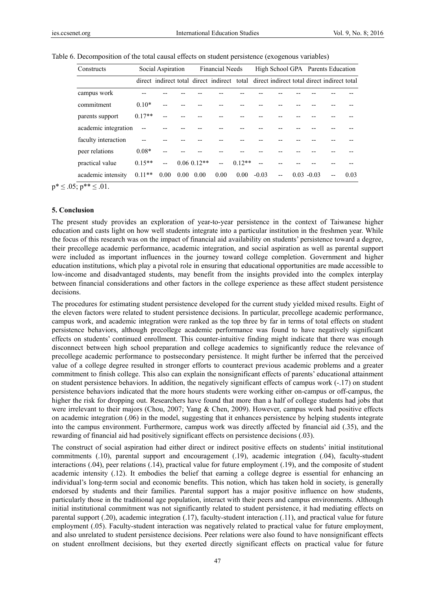| Constructs           | Social Aspiration |      |      |                 | <b>Financial Needs</b>                                                                  |          |         |     |  |               | High School GPA Parents Education |      |  |
|----------------------|-------------------|------|------|-----------------|-----------------------------------------------------------------------------------------|----------|---------|-----|--|---------------|-----------------------------------|------|--|
|                      |                   |      |      |                 | direct indirect total direct indirect total direct indirect total direct indirect total |          |         |     |  |               |                                   |      |  |
| campus work          |                   |      |      |                 |                                                                                         |          |         |     |  |               |                                   |      |  |
| commitment           | $0.10*$           |      |      |                 |                                                                                         |          |         |     |  |               |                                   |      |  |
| parents support      | $0.17**$          |      |      |                 |                                                                                         |          |         |     |  |               |                                   |      |  |
| academic integration |                   |      |      |                 |                                                                                         |          |         |     |  |               |                                   |      |  |
| faculty interaction  |                   |      |      |                 |                                                                                         |          |         |     |  |               |                                   |      |  |
| peer relations       | $0.08*$           |      |      |                 |                                                                                         |          |         |     |  |               |                                   |      |  |
| practical value      | $0.15**$          | $-$  |      | $0.06$ $0.12**$ | $-$                                                                                     | $0.12**$ |         |     |  |               |                                   |      |  |
| academic intensity   | $0.11**$          | 0.00 | 0.00 | 0.00            | 0.00                                                                                    | 0.00     | $-0.03$ | $-$ |  | $0.03 - 0.03$ |                                   | 0.03 |  |

Table 6. Decomposition of the total causal effects on student persistence (exogenous variables)

 $p^* \leq .05$ ;  $p^{**} \leq .01$ .

### **5. Conclusion**

The present study provides an exploration of year-to-year persistence in the context of Taiwanese higher education and casts light on how well students integrate into a particular institution in the freshmen year. While the focus of this research was on the impact of financial aid availability on students' persistence toward a degree, their precollege academic performance, academic integration, and social aspiration as well as parental support were included as important influences in the journey toward college completion. Government and higher education institutions, which play a pivotal role in ensuring that educational opportunities are made accessible to low-income and disadvantaged students, may benefit from the insights provided into the complex interplay between financial considerations and other factors in the college experience as these affect student persistence decisions.

The procedures for estimating student persistence developed for the current study yielded mixed results. Eight of the eleven factors were related to student persistence decisions. In particular, precollege academic performance, campus work, and academic integration were ranked as the top three by far in terms of total effects on student persistence behaviors, although precollege academic performance was found to have negatively significant effects on students' continued enrollment. This counter-intuitive finding might indicate that there was enough disconnect between high school preparation and college academics to significantly reduce the relevance of precollege academic performance to postsecondary persistence. It might further be inferred that the perceived value of a college degree resulted in stronger efforts to counteract previous academic problems and a greater commitment to finish college. This also can explain the nonsignificant effects of parents' educational attainment on student persistence behaviors. In addition, the negatively significant effects of campus work (-.17) on student persistence behaviors indicated that the more hours students were working either on-campus or off-campus, the higher the risk for dropping out. Researchers have found that more than a half of college students had jobs that were irrelevant to their majors (Chou, 2007; Yang & Chen, 2009). However, campus work had positive effects on academic integration (.06) in the model, suggesting that it enhances persistence by helping students integrate into the campus environment. Furthermore, campus work was directly affected by financial aid (.35), and the rewarding of financial aid had positively significant effects on persistence decisions (.03).

The construct of social aspiration had either direct or indirect positive effects on students' initial institutional commitments (.10), parental support and encouragement (.19), academic integration (.04), faculty-student interactions (.04), peer relations (.14), practical value for future employment (.19), and the composite of student academic intensity (.12). It embodies the belief that earning a college degree is essential for enhancing an individual's long-term social and economic benefits. This notion, which has taken hold in society, is generally endorsed by students and their families. Parental support has a major positive influence on how students, particularly those in the traditional age population, interact with their peers and campus environments. Although initial institutional commitment was not significantly related to student persistence, it had mediating effects on parental support (.20), academic integration (.17), faculty-student interaction (.11), and practical value for future employment (.05). Faculty-student interaction was negatively related to practical value for future employment, and also unrelated to student persistence decisions. Peer relations were also found to have nonsignificant effects on student enrollment decisions, but they exerted directly significant effects on practical value for future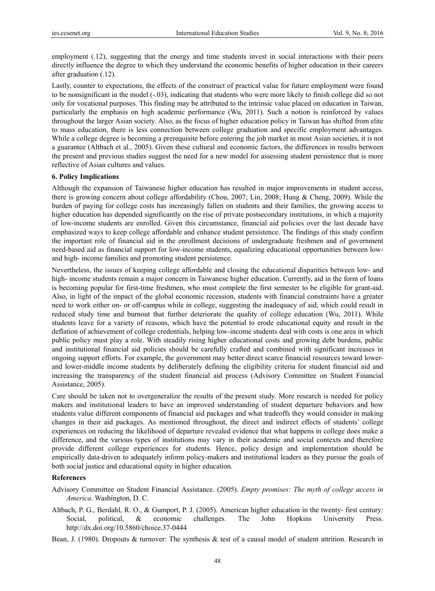employment (.12), suggesting that the energy and time students invest in social interactions with their peers directly influence the degree to which they understand the economic benefits of higher education in their careers after graduation (.12).

Lastly, counter to expectations, the effects of the construct of practical value for future employment were found to be nonsignificant in the model  $(-0.03)$ , indicating that students who were more likely to finish college did so not only for vocational purposes. This finding may be attributed to the intrinsic value placed on education in Taiwan, particularly the emphasis on high academic performance (Wu, 2011). Such a notion is reinforced by values throughout the larger Asian society. Also, as the focus of higher education policy in Taiwan has shifted from elite to mass education, there is less connection between college graduation and specific employment advantages. While a college degree is becoming a prerequisite before entering the job market in most Asian societies, it is not a guarantee (Altbach et al., 2005). Given these cultural and economic factors, the differences in results between the present and previous studies suggest the need for a new model for assessing student persistence that is more reflective of Asian cultures and values.

### **6. Policy Implications**

Although the expansion of Taiwanese higher education has resulted in major improvements in student access, there is growing concern about college affordability (Chou, 2007; Lin, 2008; Hung & Cheng, 2009). While the burden of paying for college costs has increasingly fallen on students and their families, the growing access to higher education has depended significantly on the rise of private postsecondary institutions, in which a majority of low-income students are enrolled. Given this circumstance, financial aid policies over the last decade have emphasized ways to keep college affordable and enhance student persistence. The findings of this study confirm the important role of financial aid in the enrollment decisions of undergraduate freshmen and of government need-based aid as financial support for low-income students, equalizing educational opportunities between lowand high- income families and promoting student persistence.

Nevertheless, the issues of keeping college affordable and closing the educational disparities between low- and high- income students remain a major concern in Taiwanese higher education. Currently, aid in the form of loans is becoming popular for first-time freshmen, who must complete the first semester to be eligible for grant-aid. Also, in light of the impact of the global economic recession, students with financial constraints have a greater need to work either on- or off-campus while in college, suggesting the inadequacy of aid, which could result in reduced study time and burnout that further deteriorate the quality of college education (Wu, 2011). While students leave for a variety of reasons, which have the potential to erode educational equity and result in the deflation of achievement of college credentials, helping low-income students deal with costs is one area in which public policy must play a role. With steadily rising higher educational costs and growing debt burdens, public and institutional financial aid policies should be carefully crafted and combined with significant increases in ongoing support efforts. For example, the government may better direct scarce financial resources toward lowerand lower-middle income students by deliberately defining the eligibility criteria for student financial aid and increasing the transparency of the student financial aid process (Advisory Committee on Student Financial Assistance, 2005).

Care should be taken not to overgeneralize the results of the present study. More research is needed for policy makers and institutional leaders to have an improved understanding of student departure behaviors and how students value different components of financial aid packages and what tradeoffs they would consider in making changes in their aid packages. As mentioned throughout, the direct and indirect effects of students' college experiences on reducing the likelihood of departure revealed evidence that what happens in college does make a difference, and the various types of institutions may vary in their academic and social contexts and therefore provide different college experiences for students. Hence, policy design and implementation should be empirically data-driven to adequately inform policy-makers and institutional leaders as they pursue the goals of both social justice and educational equity in higher education.

### **References**

- Advisory Committee on Student Financial Assistance. (2005). *Empty promises: The myth of college access in America*. Washington, D. C.
- Altbach, P. G., Berdahl, R. O., & Gumport, P. J. (2005). American higher education in the twenty- first century: Social, political, & economic challenges. The John Hopkins University Press. http://dx.doi.org/10.5860/choice.37-0444

Bean, J. (1980). Dropouts & turnover: The synthesis & test of a causal model of student attrition. Research in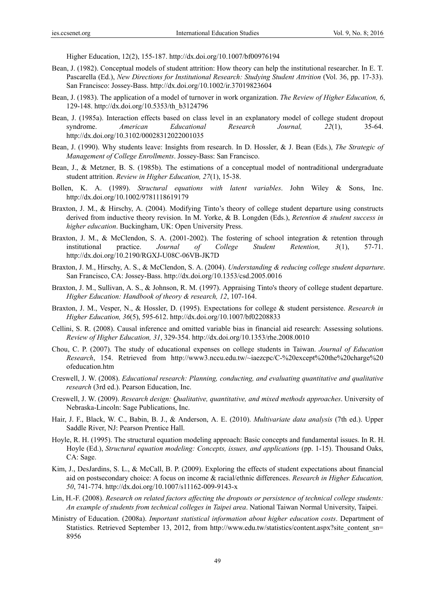Higher Education, 12(2), 155-187. http://dx.doi.org/10.1007/bf00976194

- Bean, J. (1982). Conceptual models of student attrition: How theory can help the institutional researcher. In E. T. Pascarella (Ed.), *New Directions for Institutional Research: Studying Student Attrition* (Vol. 36, pp. 17-33). San Francisco: Jossey-Bass. http://dx.doi.org/10.1002/ir.37019823604
- Bean, J. (1983). The application of a model of turnover in work organization. *The Review of Higher Education, 6*, 129-148. http://dx.doi.org/10.5353/th\_b3124796
- Bean, J. (1985a). Interaction effects based on class level in an explanatory model of college student dropout syndrome. *American Educational Research Journal, 22*(1), 35-64. http://dx.doi.org/10.3102/00028312022001035
- Bean, J. (1990). Why students leave: Insights from research. In D. Hossler, & J. Bean (Eds.), *The Strategic of Management of College Enrollments*. Jossey-Bass: San Francisco.
- Bean, J., & Metzner, B. S. (1985b). The estimations of a conceptual model of nontraditional undergraduate student attrition. *Review in Higher Education, 27*(1), 15-38.
- Bollen, K. A. (1989). *Structural equations with latent variables*. John Wiley & Sons, Inc. http://dx.doi.org/10.1002/9781118619179
- Braxton, J. M., & Hirschy, A. (2004). Modifying Tinto's theory of college student departure using constructs derived from inductive theory revision. In M. Yorke, & B. Longden (Eds.), *Retention & student success in higher education*. Buckingham, UK: Open University Press.
- Braxton, J. M., & McClendon, S. A. (2001-2002). The fostering of school integration & retention through institutional practice. *Journal of College Student Retention, 3*(1), 57-71. http://dx.doi.org/10.2190/RGXJ-U08C-06VB-JK7D
- Braxton, J. M., Hirschy, A. S., & McClendon, S. A. (2004). *Understanding & reducing college student departure*. San Francisco, CA: Jossey-Bass. http://dx.doi.org/10.1353/csd.2005.0016
- Braxton, J. M., Sullivan, A. S., & Johnson, R. M. (1997). Appraising Tinto's theory of college student departure. *Higher Education: Handbook of theory & research, 12*, 107-164.
- Braxton, J. M., Vesper, N., & Hossler, D. (1995). Expectations for college & student persistence. *Research in Higher Education, 36*(5), 595-612. http://dx.doi.org/10.1007/bf02208833
- Cellini, S. R. (2008). Causal inference and omitted variable bias in financial aid research: Assessing solutions. *Review of Higher Education, 31*, 329-354. http://dx.doi.org/10.1353/rhe.2008.0010
- Chou, C. P. (2007). The study of educational expenses on college students in Taiwan. *Journal of Education Research*, 154. Retrieved from http://www3.nccu.edu.tw/~iaezcpc/C-%20except%20the%20charge%20 ofeducation.htm
- Creswell, J. W. (2008). *Educational research: Planning, conducting, and evaluating quantitative and qualitative research* (3rd ed.). Pearson Education, Inc.
- Creswell, J. W. (2009). *Research design: Qualitative, quantitative, and mixed methods approaches*. University of Nebraska-Lincoln: Sage Publications, Inc.
- Hair, J. F., Black, W. C., Babin, B. J., & Anderson, A. E. (2010). *Multivariate data analysis* (7th ed.). Upper Saddle River, NJ: Pearson Prentice Hall.
- Hoyle, R. H. (1995). The structural equation modeling approach: Basic concepts and fundamental issues. In R. H. Hoyle (Ed.), *Structural equation modeling: Concepts, issues, and applications* (pp. 1-15). Thousand Oaks, CA: Sage.
- Kim, J., DesJardins, S. L., & McCall, B. P. (2009). Exploring the effects of student expectations about financial aid on postsecondary choice: A focus on income & racial/ethnic differences. *Research in Higher Education, 50*, 741-774. http://dx.doi.org/10.1007/s11162-009-9143-x
- Lin, H.-F. (2008). *Research on related factors affecting the dropouts or persistence of technical college students: An example of students from technical colleges in Taipei area*. National Taiwan Normal University, Taipei.
- Ministry of Education. (2008a). *Important statistical information about higher education costs*. Department of Statistics. Retrieved September 13, 2012, from http://www.edu.tw/statistics/content.aspx?site\_content\_sn= 8956